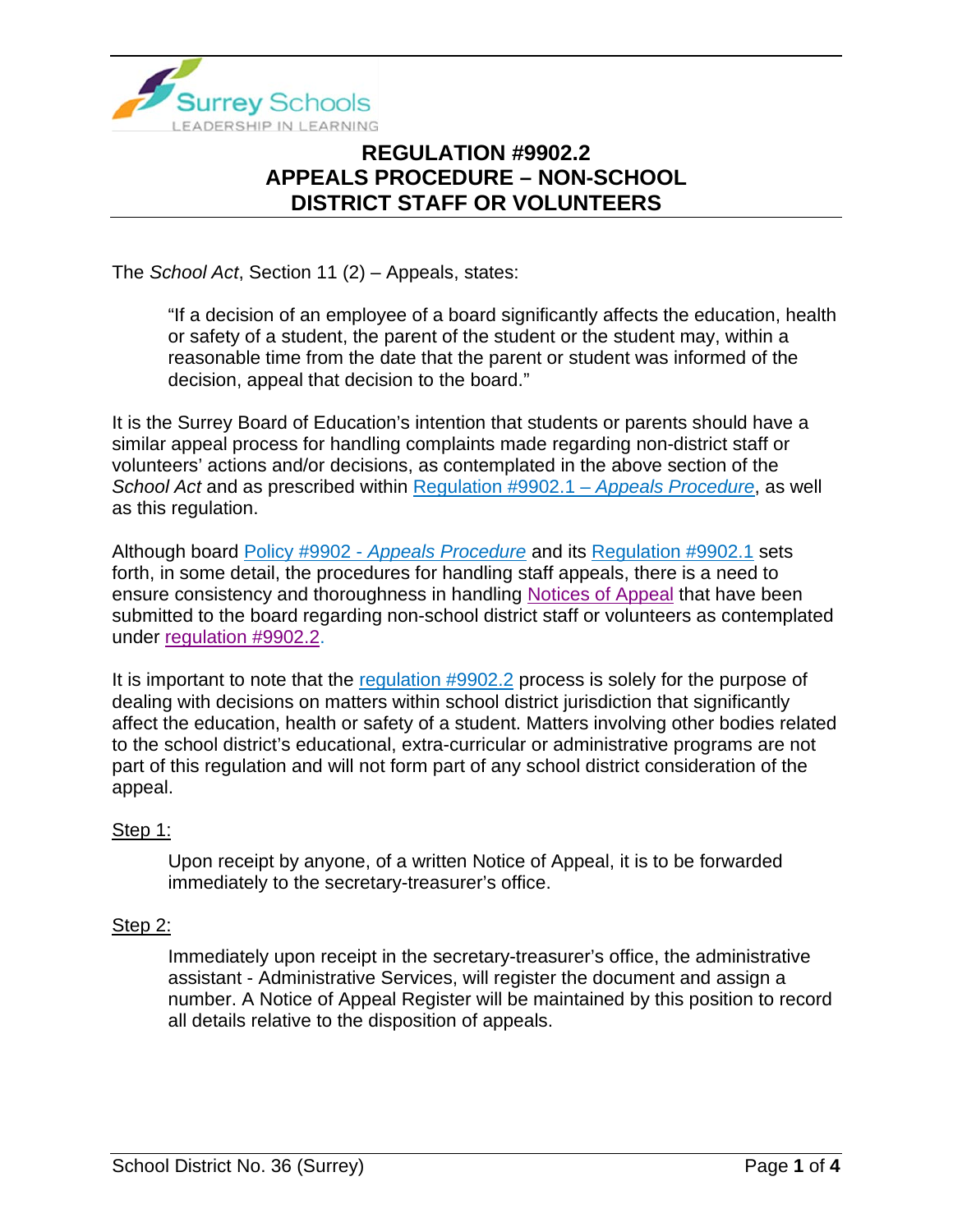

The *School Act*, Section 11 (2) – Appeals, states:

"If a decision of an employee of a board significantly affects the education, health or safety of a student, the parent of the student or the student may, within a reasonable time from the date that the parent or student was informed of the decision, appeal that decision to the board."

It is the Surrey Board of Education's intention that students or parents should have a similar appeal process for handling complaints made regarding non-district staff or volunteers' actions and/or decisions, as contemplated in the above section of the *School Act* and as prescribed within [Regulation #9902.1 –](https://www.surreyschools.ca/departments/SECT/PoliciesRegulations/section_9000/Documents/9902.1%20Regulation.pdf) *Appeals Procedure*, as well as this regulation.

Although board Policy #9902 - *[Appeals Procedure](https://www.surreyschools.ca/departments/SECT/PoliciesRegulations/section_9000/Documents/9902%20Policy.pdf)* and its [Regulation #9902.1](https://www.surreyschools.ca/departments/SECT/PoliciesRegulations/section_9000/Documents/9902.1%20Regulation.pdf) sets forth, in some detail, the procedures for handling staff appeals, there is a need to ensure consistency and thoroughness in handling [Notices of Appeal](https://www.surreyschools.ca/departments/SECT/PoliciesRegulations/section_9000/Documents/9902.1-1%20Appendix.pdf) that have been submitted to the board regarding non-school district staff or volunteers as contemplated under [regulation #9902.2.](https://www.surreyschools.ca/departments/SECT/PoliciesRegulations/section_9000/Documents/9902.2%20Regulation.pdf)

It is important to note that the [regulation #9902.2](https://www.surreyschools.ca/departments/SECT/PoliciesRegulations/section_9000/Documents/9902.2%20Regulation.pdf) process is solely for the purpose of dealing with decisions on matters within school district jurisdiction that significantly affect the education, health or safety of a student. Matters involving other bodies related to the school district's educational, extra-curricular or administrative programs are not part of this regulation and will not form part of any school district consideration of the appeal.

#### Step 1:

Upon receipt by anyone, of a written Notice of Appeal, it is to be forwarded immediately to the secretary-treasurer's office.

#### Step 2:

Immediately upon receipt in the secretary-treasurer's office, the administrative assistant - Administrative Services, will register the document and assign a number. A Notice of Appeal Register will be maintained by this position to record all details relative to the disposition of appeals.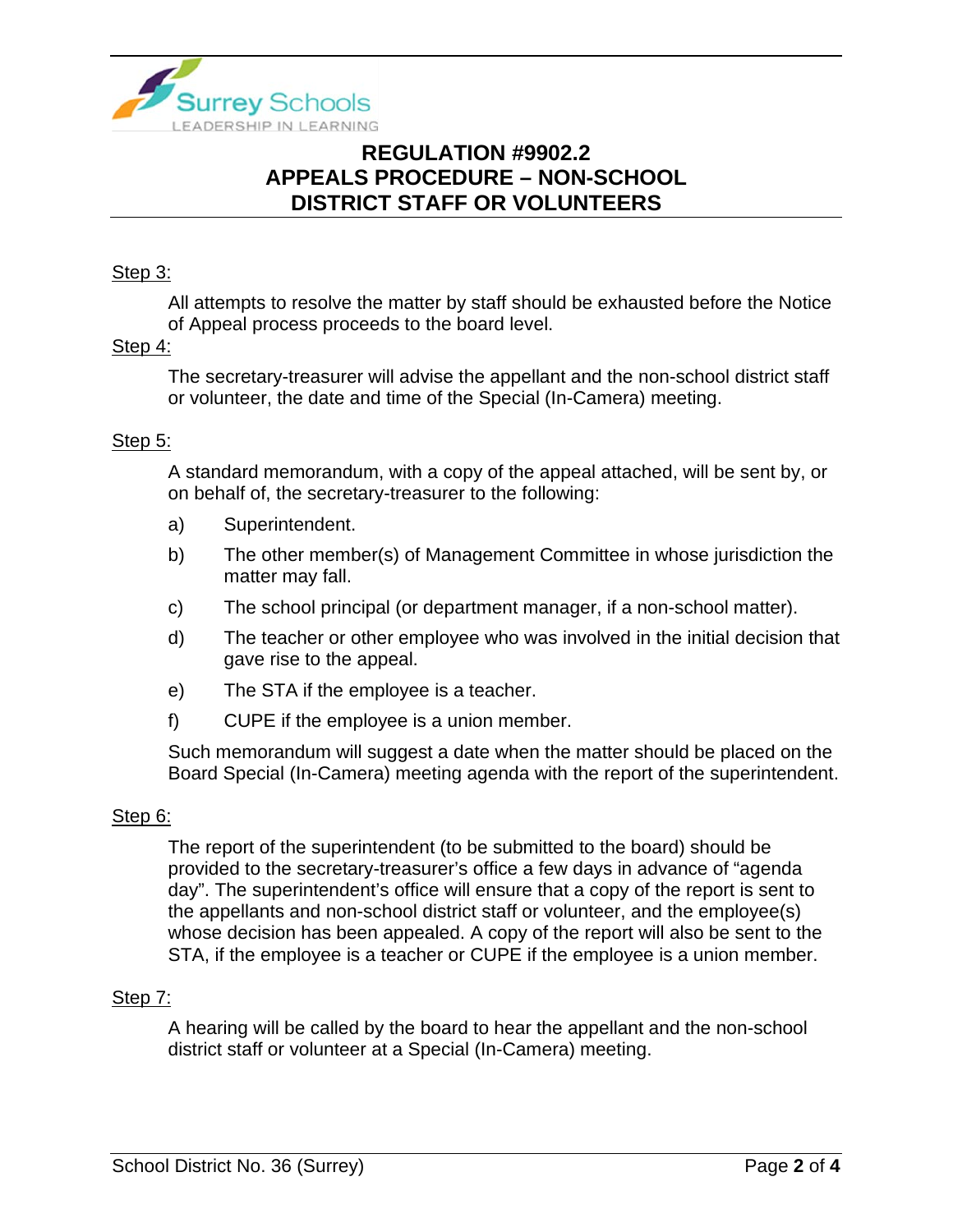

### Step 3:

All attempts to resolve the matter by staff should be exhausted before the Notice of Appeal process proceeds to the board level.

#### Step 4:

The secretary-treasurer will advise the appellant and the non-school district staff or volunteer, the date and time of the Special (In-Camera) meeting.

#### Step 5:

A standard memorandum, with a copy of the appeal attached, will be sent by, or on behalf of, the secretary-treasurer to the following:

- a) Superintendent.
- b) The other member(s) of Management Committee in whose jurisdiction the matter may fall.
- c) The school principal (or department manager, if a non-school matter).
- d) The teacher or other employee who was involved in the initial decision that gave rise to the appeal.
- e) The STA if the employee is a teacher.
- f) CUPE if the employee is a union member.

Such memorandum will suggest a date when the matter should be placed on the Board Special (In-Camera) meeting agenda with the report of the superintendent.

#### Step 6:

The report of the superintendent (to be submitted to the board) should be provided to the secretary-treasurer's office a few days in advance of "agenda day". The superintendent's office will ensure that a copy of the report is sent to the appellants and non-school district staff or volunteer, and the employee(s) whose decision has been appealed. A copy of the report will also be sent to the STA, if the employee is a teacher or CUPE if the employee is a union member.

#### Step 7:

A hearing will be called by the board to hear the appellant and the non-school district staff or volunteer at a Special (In-Camera) meeting.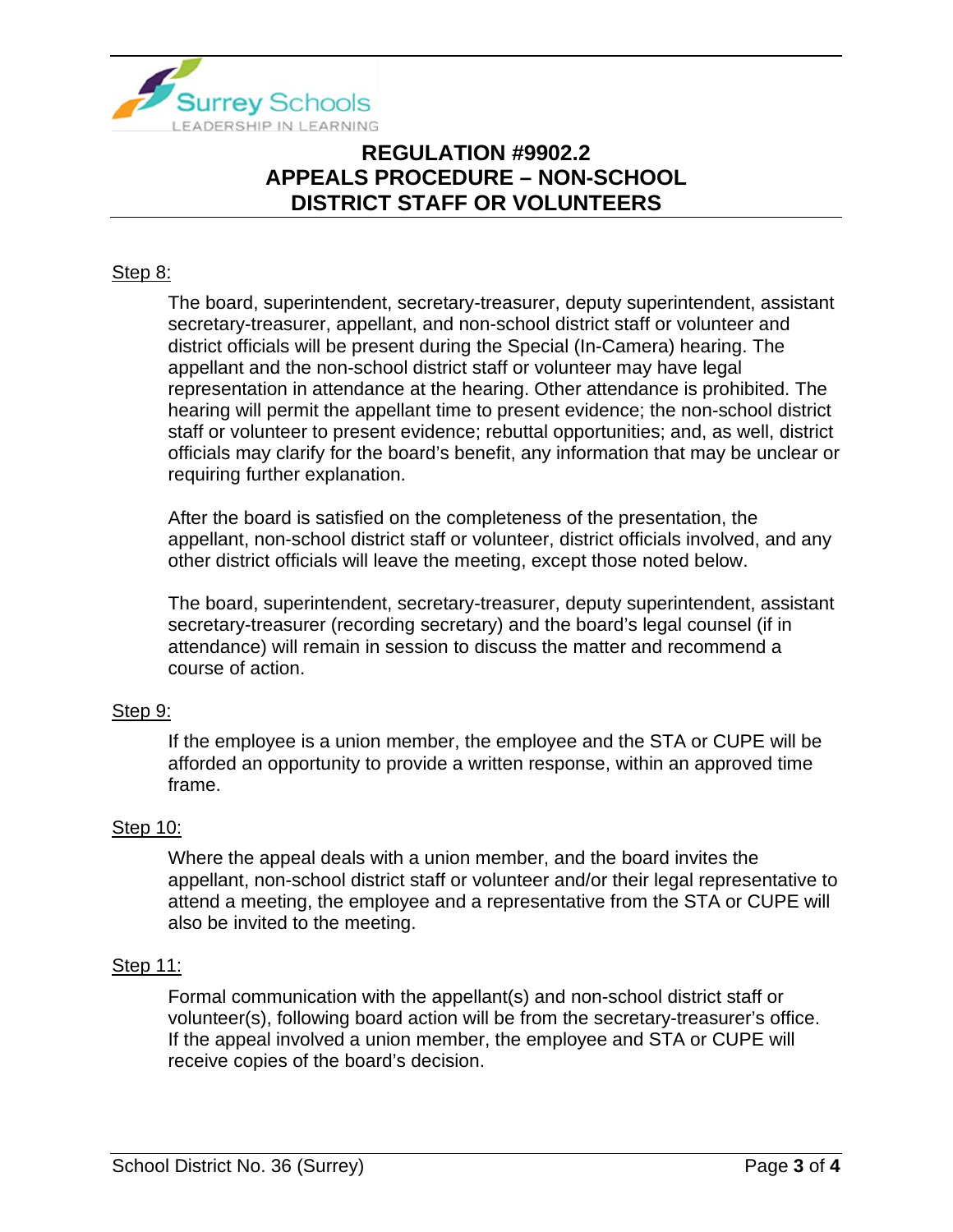

### Step 8:

The board, superintendent, secretary-treasurer, deputy superintendent, assistant secretary-treasurer, appellant, and non-school district staff or volunteer and district officials will be present during the Special (In-Camera) hearing. The appellant and the non-school district staff or volunteer may have legal representation in attendance at the hearing. Other attendance is prohibited. The hearing will permit the appellant time to present evidence; the non-school district staff or volunteer to present evidence; rebuttal opportunities; and, as well, district officials may clarify for the board's benefit, any information that may be unclear or requiring further explanation.

After the board is satisfied on the completeness of the presentation, the appellant, non-school district staff or volunteer, district officials involved, and any other district officials will leave the meeting, except those noted below.

The board, superintendent, secretary-treasurer, deputy superintendent, assistant secretary-treasurer (recording secretary) and the board's legal counsel (if in attendance) will remain in session to discuss the matter and recommend a course of action.

#### Step 9:

If the employee is a union member, the employee and the STA or CUPE will be afforded an opportunity to provide a written response, within an approved time frame.

#### Step 10:

Where the appeal deals with a union member, and the board invites the appellant, non-school district staff or volunteer and/or their legal representative to attend a meeting, the employee and a representative from the STA or CUPE will also be invited to the meeting.

#### Step 11:

Formal communication with the appellant(s) and non-school district staff or volunteer(s), following board action will be from the secretary-treasurer's office. If the appeal involved a union member, the employee and STA or CUPE will receive copies of the board's decision.